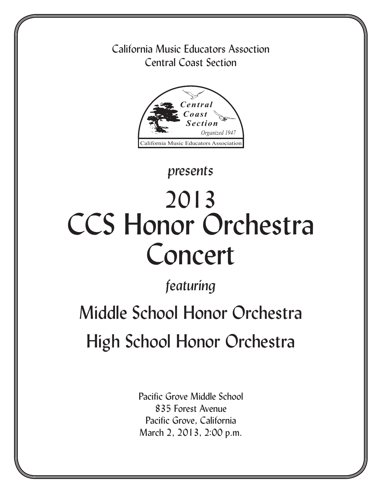## California Music Educators Assoction Central Coast Section



## *presents*

# 2013 CCS Honor Orchestra Concert

## *featuring*

# Middle School Honor Orchestra High School Honor Orchestra

Pacific Grove Middle School 835 Forest Avenue Pacific Grove, California March 2, 2013, 2:00 p.m.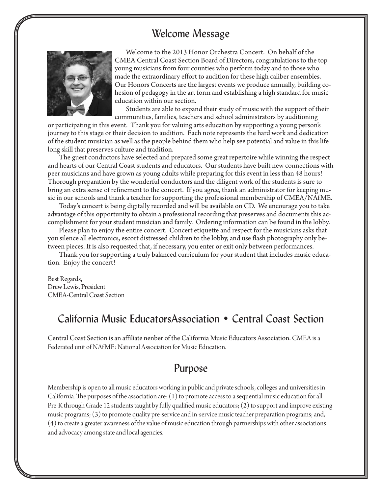### Welcome Message



Welcome to the 2013 Honor Orchestra Concert. On behalf of the CMEA Central Coast Section Board of Directors, congratulations to the top young musicians from four counties who perform today and to those who made the extraordinary effort to audition for these high caliber ensembles. Our Honors Concerts are the largest events we produce annually, building cohesion of pedagogy in the art form and establishing a high standard for music education within our section.

Students are able to expand their study of music with the support of their communities, families, teachers and school administrators by auditioning

or participating in this event. Thank you for valuing arts education by supporting a young person's journey to this stage or their decision to audition. Each note represents the hard work and dedication of the student musician as well as the people behind them who help see potential and value in this life long skill that preserves culture and tradition.

The guest conductors have selected and prepared some great repertoire while winning the respect and hearts of our Central Coast students and educators. Our students have built new connections with peer musicians and have grown as young adults while preparing for this event in less than 48 hours! Thorough preparation by the wonderful conductors and the diligent work of the students is sure to bring an extra sense of refinement to the concert. If you agree, thank an administrator for keeping music in our schools and thank a teacher for supporting the professional membership of CMEA/NAfME.

Today's concert is being digitally recorded and will be available on CD. We encourage you to take advantage of this opportunity to obtain a professional recording that preserves and documents this accomplishment for your student musician and family. Ordering information can be found in the lobby.

Please plan to enjoy the entire concert. Concert etiquette and respect for the musicians asks that you silence all electronics, escort distressed children to the lobby, and use flash photography only between pieces. It is also requested that, if necessary, you enter or exit only between performances.

Thank you for supporting a truly balanced curriculum for your student that includes music education. Enjoy the concert!

Best Regards, Drew Lewis, President CMEA-Central Coast Section

### California Music EducatorsAssociation • Central Coast Section

Central Coast Section is an affiliate nenber of the California Music Educators Association. CMEA is a Federated unit of NAfME: National Association for Music Education.

### Purpose

Membership is open to all music educators working in public and private schools, colleges and universities in California. The purposes of the association are: (1) to promote access to a sequential music education for all Pre-K through Grade 12 students taught by fully qualified music educators; (2) to support and improve existing music programs; (3) to promote quality pre-service and in-service music teacher preparation programs; and, (4) to create a greater awareness of the value of music education through partnerships with other associations and advocacy among state and local agencies.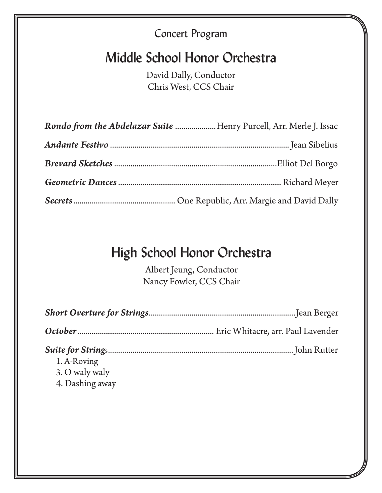## Concert Program

## Middle School Honor Orchestra

David Dally, Conductor Chris West, CCS Chair

| Rondo from the Abdelazar Suite Henry Purcell, Arr. Merle J. Issac |  |
|-------------------------------------------------------------------|--|
|                                                                   |  |
|                                                                   |  |
|                                                                   |  |
|                                                                   |  |

## High School Honor Orchestra

Albert Jeung, Conductor Nancy Fowler, CCS Chair

| 1. A-Roving<br>3. O waly waly<br>4. Dashing away |  |
|--------------------------------------------------|--|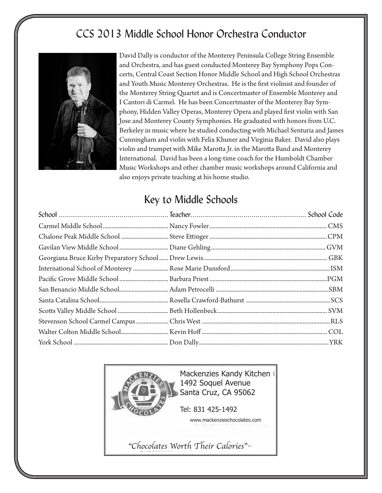## CCS 2013 Middle School Honor Orchestra Conductor



David Dally is conductor of the Monterey Peninsula College String Ensemble and Orchestra, and has guest conducted Monterey Bay Symphony Pops Concerts, Central Coast Section Honor Middle School and High School Orchestras and Youth Music Monterey Orchestras. He is the first violinist and founder of the Monterey String Quartet and is Concertmaster of Ensemble Monterey and I Cantori di Carmel. He has been Concertmaster of the Monterey Bay Symphony, Hidden Valley Operas, Monterey Opera and played first violin with San Jose and Monterey County Symphonies. He graduated with honors from U.C. Berkeley in music where he studied conducting with Michael Senturia and James Cunningham and violin with Felix Khuner and Virginia Baker. David also plays violin and trumpet with Mike Marotta Jr. in the Marotta Band and Monterey International. David has been a long-time coach for the Humboldt Chamber Music Workshops and other chamber music workshops around California and also enjoys private teaching at his home studio.

## Key to Middle Schools

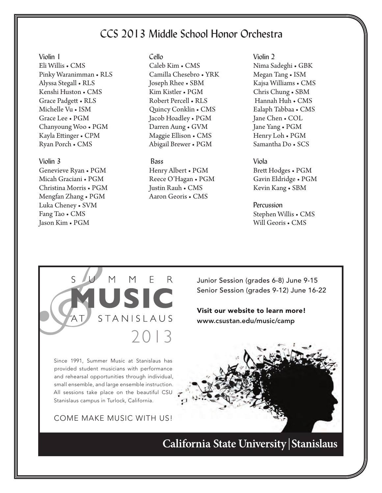## CCS 2013 Middle School Honor Orchestra

#### Violin 1

Eli Willis • CMS Pinky Waranimman • RLS Alyssa Stegall • RLS Kenshi Huston • CMS Grace Padgett • RLS Michelle Vu • ISM Grace Lee • PGM Chanyoung Woo • PGM Kayla Ettinger • CPM Ryan Porch • CMS

#### Violin 3

Genevieve Ryan • PGM Micah Graciani • PGM Christina Morris • PGM Mengfan Zhang • PGM Luka Cheney • SVM Fang Tao • CMS Jason Kim • PGM

#### Cello

Caleb Kim • CMS Camilla Chesebro • YRK Joseph Rhee • SBM Kim Kistler • PGM Robert Percell • RLS Quincy Conklin • CMS Jacob Hoadley • PGM Darren Aung • GVM Maggie Ellison • CMS Abigail Brewer • PGM

#### **Bass**

2013

E

 $M$ 

STANISLAUS

Henry Albert • PGM Reece O'Hagan • PGM Justin Rauh • CMS Aaron Georis • CMS

Violin 2 Nima Sadeghi • GBK Megan Tang • ISM Kajsa Williams • CMS Chris Chung • SBM Hannah Huh • CMS Ealaph Tabbaa • CMS Jane Chen • COL Jane Yang • PGM Henry Loh • PGM Samantha Do • SCS

#### Viola

Brett Hodges • PGM Gavin Eldridge • PGM Kevin Kang • SBM

Percussion Stephen Willis • CMS Will Georis • CMS



Visit our website to learn more! www.csustan.edu/music/camp

Since 1991, Summer Music at Stanislaus has provided student musicians with performance and rehearsal opportunities through individual, small ensemble, and large ensemble instruction. All sessions take place on the beautiful CSU Stanislaus campus in Turlock, California.

 $M$ 

Come make musiC with us!



California State University Stanislaus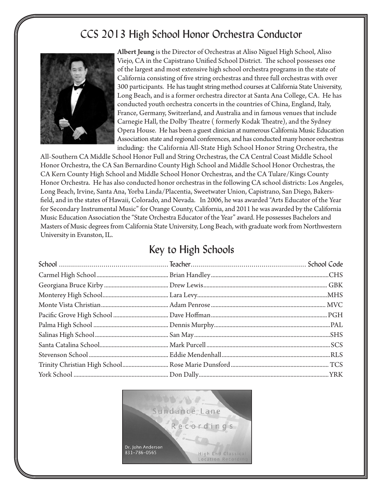## CCS 2013 High School Honor Orchestra Conductor



Albert Jeung is the Director of Orchestras at Aliso Niguel High School, Aliso Viejo, CA in the Capistrano Unified School District. The school possesses one of the largest and most extensive high school orchestra programs in the state of California consisting of five string orchestras and three full orchestras with over 300 participants. He has taught string method courses at California State University, Long Beach, and is a former orchestra director at Santa Ana College, CA. He has conducted youth orchestra concerts in the countries of China, England, Italy, France, Germany, Switzerland, and Australia and in famous venues that include Carnegie Hall, the Dolby Theatre ( formerly Kodak Theatre), and the Sydney Opera House. He has been a guest clinician at numerous California Music Education Association state and regional conferences, and has conducted many honor orchestras including: the California All-State High School Honor String Orchestra, the

All-Southern CA Middle School Honor Full and String Orchestras, the CA Central Coast Middle School Honor Orchestra, the CA San Bernardino County High School and Middle School Honor Orchestras, the CA Kern County High School and Middle School Honor Orchestras, and the CA Tulare/Kings County Honor Orchestra. He has also conducted honor orchestras in the following CA school districts: Los Angeles, Long Beach, Irvine, Santa Ana, Yorba Linda/Placentia, Sweetwater Union, Capistrano, San Diego, Bakersfield, and in the states of Hawaii, Colorado, and Nevada. In 2006, he was awarded "Arts Educator of the Year for Secondary Instrumental Music" for Orange County, California, and 2011 he was awarded by the California Music Education Association the "State Orchestra Educator of the Year" award. He possesses Bachelors and Masters of Music degrees from California State University, Long Beach, with graduate work from Northwestern University in Evanston, IL.

### Key to High Schools

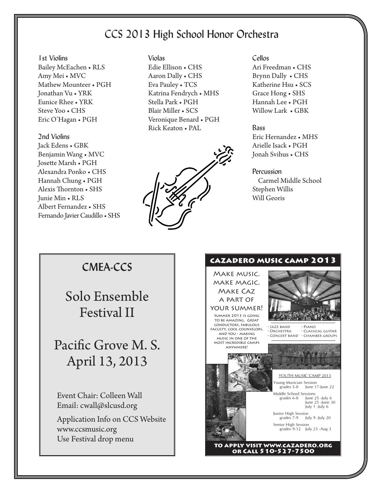## CCS 2013 High School Honor Orchestra

1st Violins Bailey McEachen • RLS Amy Mei • MVC Mathew Mounteer • PGH Jonathan Vu • YRK Eunice Rhee • YRK Steve Yoo • CHS Eric O'Hagan • PGH

2nd Violins Jack Edens • GBK Benjamin Wang • MVC Josette Marsh • PGH Alexandra Ponko • CHS Hannah Chung • PGH Alexis Thornton • SHS Junie Min • RLS Albert Fernandez • SHS Fernando Javier Caudillo • SHS Violas Edie Ellison • CHS Aaron Dally • CHS Eva Pauley • TCS Katrina Fendrych • MHS Stella Park • PGH Blair Miller • SCS Veronique Benard • PGH Rick Keaton • PAL



Cellos Ari Freedman • CHS Brynn Dally • CHS Katherine Hsu • SCS Grace Hong • SHS Hannah Lee • PGH Willow Lark • GBK

#### Bass

Eric Hernandez • MHS Arielle Isack • PGH Jonah Svihus • CHS

#### **Percussion**

 Carmel Middle School Stephen Willis Will Georis

### **CMEA-CCS**

Solo Ensemble Festival II

## Pacific Grove M. S. April 13, 2013

Event Chair: Colleen Wall Email: cwall@slcusd.org

Application Info on CCS Website www.ccsmusic.org Use Festival drop menu